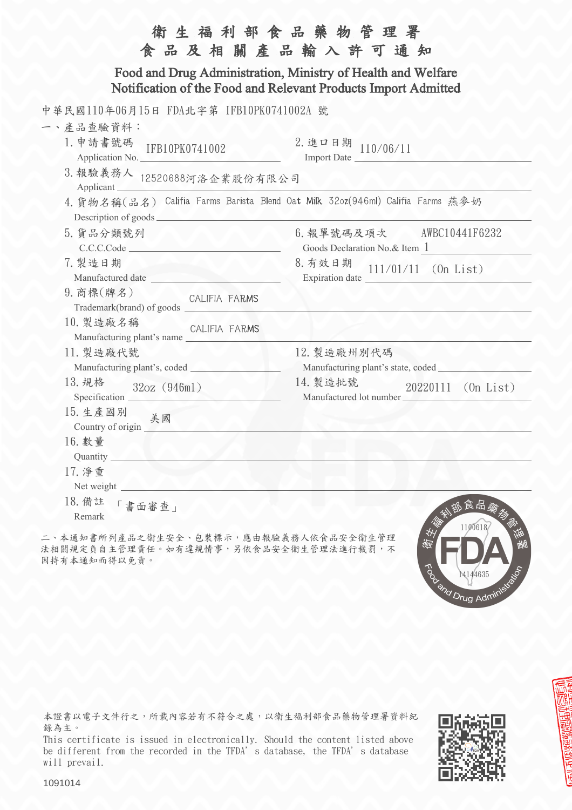|                                                                                                                                                                                                                                                   | 生福利部食品藥物管理署<br>食品及相關產品輸入許可通知                               |  |  |  |
|---------------------------------------------------------------------------------------------------------------------------------------------------------------------------------------------------------------------------------------------------|------------------------------------------------------------|--|--|--|
| Food and Drug Administration, Ministry of Health and Welfare<br>Notification of the Food and Relevant Products Import Admitted                                                                                                                    |                                                            |  |  |  |
| 中華民國110年06月15日 FDA北字第 IFB10PK0741002A 號<br>一、產品查驗資料:<br>1. 申請書號碼<br>IFB10PK0741002                                                                                                                                                                | 2. 進口日期 110/06/11                                          |  |  |  |
| Application No.<br>3. 報驗義務人 12520688河洛企業股份有限公司<br>Applicant                                                                                                                                                                                       | Import Date                                                |  |  |  |
| 4. 貨物名稱(品名) Califia Farms Barista Blend Oat Milk 32oz(946ml) Califia Farms 燕麥奶                                                                                                                                                                    |                                                            |  |  |  |
| 5. 貨品分類號列<br>C.C.C.Code                                                                                                                                                                                                                           | 6. 報單號碼及項次 AWBC10441F6232<br>Goods Declaration No.& Item 1 |  |  |  |
| 7. 製造日期                                                                                                                                                                                                                                           | 8. 有效日期<br>$111/01/11$ (On List)                           |  |  |  |
| 9. 商標(牌名)                                                                                                                                                                                                                                         |                                                            |  |  |  |
| 10. 製造廠名稱<br>CALIFIA FARMS<br>Manufacturing plant's name                                                                                                                                                                                          |                                                            |  |  |  |
| 11. 製造廠代號<br>Manufacturing plant's, coded <b>with any contract of the set of the set of the set of the set of the set of the set of the set of the set of the set of the set of the set of the set of the set of the set of the set of the se</b> | 12. 製造廠州別代碼                                                |  |  |  |
| 13. 規格<br>32oz (946ml)<br>Specification                                                                                                                                                                                                           | 14. 製造批號<br>20220111 (On List)<br>Manufactured lot number  |  |  |  |
| 15. 生產國別<br>美國<br>Country of origin $\sqrt{2\pi}$                                                                                                                                                                                                 |                                                            |  |  |  |
| 16. 數量<br>Quantity                                                                                                                                                                                                                                |                                                            |  |  |  |
| 17. 淨重<br>Net weight                                                                                                                                                                                                                              |                                                            |  |  |  |
| 18. 備註<br>「書面審查」<br>Remark                                                                                                                                                                                                                        | 食品藥物<br>1100618                                            |  |  |  |

二、本通知書所列產品之衛生安全、包裝標示,應由報驗義務人依食品安全衛生管理 法相關規定負自主管理責任。如有違規情事,另依食品安全衛生管理法進行裁罰,不 因持有本通知而得以免責。

本證書以電子文件行之,所載內容若有不符合之處,以衛生福利部食品藥物管理署資料紀 錄為主。

This certificate is issued in electronically. Should the content listed above be different from the recorded in the TFDA's database, the TFDA's database will prevail.



To M14400